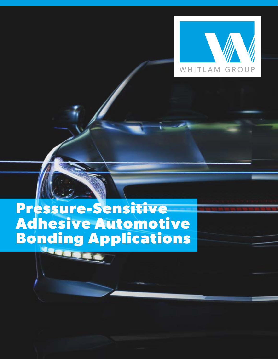

# **Pressure-Sensitive Adhesive Automotive Bonding Applications**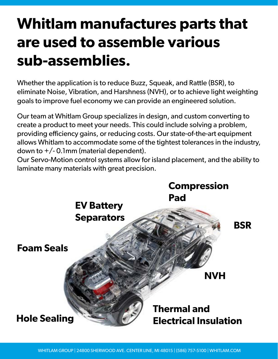## **Whitlam manufactures parts that are used to assemble various sub-assemblies.**

Whether the application is to reduce Buzz, Squeak, and Rattle (BSR), to eliminate Noise, Vibration, and Harshness (NVH), or to achieve light weighting goals to improve fuel economy we can provide an engineered solution.

Our team at Whitlam Group specializes in design, and custom converting to create a product to meet your needs. This could include solving a problem, providing efficiency gains, or reducing costs. Our state-of-the-art equipment allows Whitlam to accommodate some of the tightest tolerances in the industry, down to  $+/-$  0.1mm (material dependent).

Our Servo-Motion control systems allow for island placement, and the ability to laminate many materials with great precision.

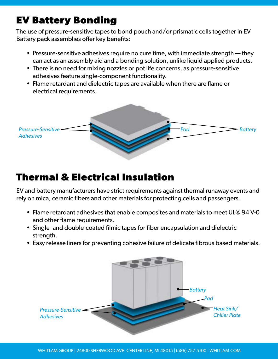#### **EV Battery Bonding**

The use of pressure-sensitive tapes to bond pouch and/or prismatic cells together in EV Battery pack assemblies offer key benefits:

- Pressure-sensitive adhesives require no cure time, with immediate strength they can act as an assembly aid and a bonding solution, unlike liquid applied products.
- There is no need for mixing nozzles or pot life concerns, as pressure-sensitive adhesives feature single-component functionality.
- Flame retardant and dielectric tapes are available when there are flame or electrical requirements.



#### **Thermal & Electrical Insulation**

EV and battery manufacturers have strict requirements against thermal runaway events and rely on mica, ceramic fibers and other materials for protecting cells and passengers.

- Flame retardant adhesives that enable composites and materials to meet UL® 94 V-0 and other flame requirements.
- Single- and double-coated filmic tapes for fiber encapsulation and dielectric strength.
- Easy release liners for preventing cohesive failure of delicate fibrous based materials.

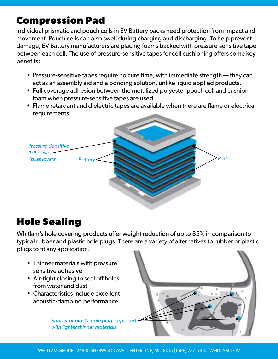#### **Compression Pad**

Individual prismatic and pouch cells in EV Battery packs need protection from impact and movement. Pouch cells can also swell during charging and discharging. To help prevent damage, EV Battery manufacturers are placing foams backed with pressure-sensitive tape between each cell. The use of pressure-sensitive tapes for cell cushioning offers some key benefits:

- Pressure-sensitive tapes require no cure time, with immediate strength they can act as an assembly aid and a bonding solution, unlike liquid applied products.
- Full coverage adhesion between the metalized polyester pouch cell and cushion foam when pressure-sensitive tapes are used.
- Flame retardant and dielectric tapes are available when there are flame or electrical requirements.



#### **Hole Sealing**

Whitlam's hole covering products offer weight reduction of up to 85% in comparison to typical rubber and plastic hole plugs. There are a variety of alternatives to rubber or plastic plugs to fit any application.

- Thinner materials with pressure sensitive adhesive
- Air-tight closing to seal off holes from water and dust
- Characteristics include excellent acoustic-damping performance

*Rubber or plastic hole plugs replaced with lighter thinner materials*

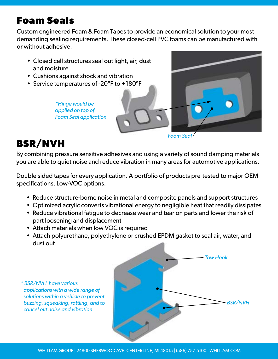#### **Foam Seals**

Custom engineered Foam & Foam Tapes to provide an economical solution to your most demanding sealing requirements. These closed-cell PVC foams can be manufactured with or without adhesive.

- Closed cell structures seal out light, air, dust and moisture
- Cushions against shock and vibration
- Service temperatures of -20ºF to +180ºF

*\*Hinge would be applied on top of Foam Seal application*



### **BSR/NVH**

By combining pressure sensitive adhesives and using a variety of sound damping materials you are able to quiet noise and reduce vibration in many areas for automotive applications.

Double sided tapes for every application. A portfolio of products pre-tested to major OEM specifications. Low-VOC options.

- Reduce structure-borne noise in metal and composite panels and support structures
- Optimized acrylic converts vibrational energy to negligible heat that readily dissipates
- Reduce vibrational fatigue to decrease wear and tear on parts and lower the risk of part loosening and displacement
- Attach materials when low VOC is required
- Attach polyurethane, polyethylene or crushed EPDM gasket to seal air, water, and dust out
- *\* BSR/NVH have various applications with a wide range of solutions within a vehicle to prevent buzzing, squeaking, rattling, and to cancel out noise and vibration.*